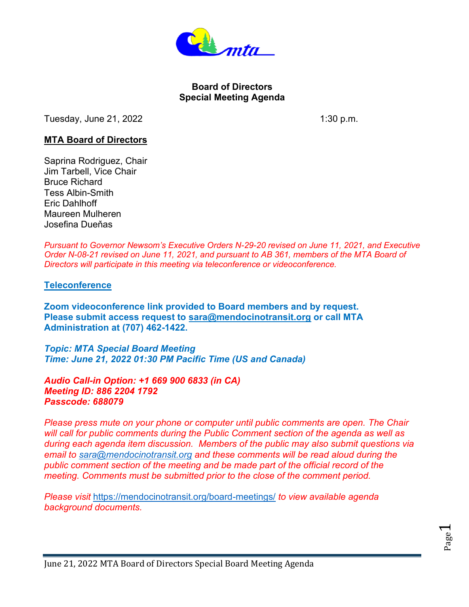

## **Board of Directors Special Meeting Agenda**

Tuesday, June 21, 2022 **1:30 p.m.** 

## **MTA Board of Directors**

Saprina Rodriguez, Chair Jim Tarbell, Vice Chair Bruce Richard Tess Albin-Smith Eric Dahlhoff Maureen Mulheren Josefina Dueňas

*Pursuant to Governor Newsom's Executive Orders N-29-20 revised on June 11, 2021, and Executive Order N-08-21 revised on June 11, 2021, and pursuant to AB 361, members of the MTA Board of Directors will participate in this meeting via teleconference or videoconference.*

## **Teleconference**

**Zoom videoconference link provided to Board members and by request. Please submit access request to [sara@mendocinotransit.org](mailto:sara@mendocinotransit.org) or call MTA Administration at (707) 462-1422.**

*Topic: MTA Special Board Meeting Time: June 21, 2022 01:30 PM Pacific Time (US and Canada)*

*Audio Call-in Option: +1 669 900 6833 (in CA) Meeting ID: 886 2204 1792 Passcode: 688079*

*Please press mute on your phone or computer until public comments are open. The Chair will call for public comments during the Public Comment section of the agenda as well as during each agenda item discussion. Members of the public may also submit questions via email to [sara@mendocinotransit.org](mailto:sara@mendocinotransit.org) and these comments will be read aloud during the public comment section of the meeting and be made part of the official record of the meeting. Comments must be submitted prior to the close of the comment period.*

*Please visit* <https://mendocinotransit.org/board-meetings/> *to view available agenda background documents.*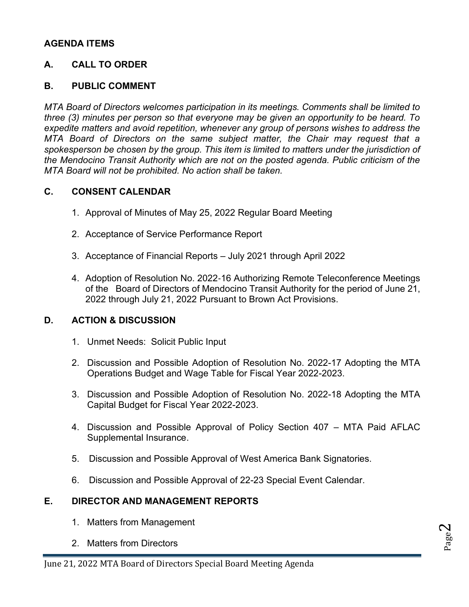# **AGENDA ITEMS**

# **A. CALL TO ORDER**

## **B. PUBLIC COMMENT**

*MTA Board of Directors welcomes participation in its meetings. Comments shall be limited to three (3) minutes per person so that everyone may be given an opportunity to be heard. To expedite matters and avoid repetition, whenever any group of persons wishes to address the MTA Board of Directors on the same subject matter, the Chair may request that a spokesperson be chosen by the group. This item is limited to matters under the jurisdiction of the Mendocino Transit Authority which are not on the posted agenda. Public criticism of the MTA Board will not be prohibited. No action shall be taken.*

#### **C. CONSENT CALENDAR**

- 1. Approval of Minutes of May 25, 2022 Regular Board Meeting
- 2. Acceptance of Service Performance Report
- 3. Acceptance of Financial Reports July 2021 through April 2022
- 4. Adoption of Resolution No. 2022‐16 Authorizing Remote Teleconference Meetings of the Board of Directors of Mendocino Transit Authority for the period of June 21, 2022 through July 21, 2022 Pursuant to Brown Act Provisions.

# **D. ACTION & DISCUSSION**

- 1. Unmet Needs: Solicit Public Input
- 2. Discussion and Possible Adoption of Resolution No. 2022-17 Adopting the MTA Operations Budget and Wage Table for Fiscal Year 2022-2023.
- 3. Discussion and Possible Adoption of Resolution No. 2022-18 Adopting the MTA Capital Budget for Fiscal Year 2022-2023.
- 4. Discussion and Possible Approval of Policy Section 407 MTA Paid AFLAC Supplemental Insurance.
- 5. Discussion and Possible Approval of West America Bank Signatories.
- 6. Discussion and Possible Approval of 22-23 Special Event Calendar.

# **E. DIRECTOR AND MANAGEMENT REPORTS**

- 1. Matters from Management
- 2. Matters from Directors